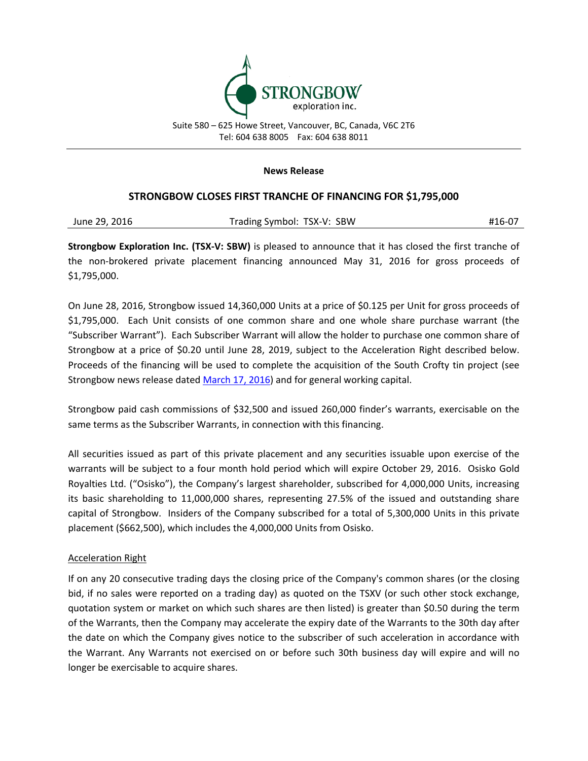

Suite 580 – 625 Howe Street, Vancouver, BC, Canada, V6C 2T6 Tel: 604 638 8005 Fax: 604 638 8011

## **News Release**

## **STRONGBOW CLOSES FIRST TRANCHE OF FINANCING FOR \$1,795,000**

| June 29, 2016 | Trading Symbol: TSX-V: SBW | #16-07 |
|---------------|----------------------------|--------|
|               |                            |        |

**Strongbow Exploration Inc. (TSX-V: SBW)** is pleased to announce that it has closed the first tranche of the non-brokered private placement financing announced May 31, 2016 for gross proceeds of \$1,795,000.

On June 28, 2016, Strongbow issued 14,360,000 Units at a price of \$0.125 per Unit for gross proceeds of \$1,795,000. Each Unit consists of one common share and one whole share purchase warrant (the "Subscriber Warrant"). Each Subscriber Warrant will allow the holder to purchase one common share of Strongbow at a price of \$0.20 until June 28, 2019, subject to the Acceleration Right described below. Proceeds of the financing will be used to complete the acquisition of the South Crofty tin project (see Strongbow news release dated [March 17, 2016\)](http://www.strongbowexploration.com/s/NewsReleases.asp?ReportID=742916&_Type=News-Releases&_Title=Strongbow-to-Acquire-the-South-Crofty-Tin-Project-Cornwall-UK) and for general working capital.

Strongbow paid cash commissions of \$32,500 and issued 260,000 finder's warrants, exercisable on the same terms as the Subscriber Warrants, in connection with this financing.

All securities issued as part of this private placement and any securities issuable upon exercise of the warrants will be subject to a four month hold period which will expire October 29, 2016. Osisko Gold Royalties Ltd. ("Osisko"), the Company's largest shareholder, subscribed for 4,000,000 Units, increasing its basic shareholding to 11,000,000 shares, representing 27.5% of the issued and outstanding share capital of Strongbow. Insiders of the Company subscribed for a total of 5,300,000 Units in this private placement (\$662,500), which includes the 4,000,000 Units from Osisko.

## Acceleration Right

If on any 20 consecutive trading days the closing price of the Company's common shares (or the closing bid, if no sales were reported on a trading day) as quoted on the TSXV (or such other stock exchange, quotation system or market on which such shares are then listed) is greater than \$0.50 during the term of the Warrants, then the Company may accelerate the expiry date of the Warrants to the 30th day after the date on which the Company gives notice to the subscriber of such acceleration in accordance with the Warrant. Any Warrants not exercised on or before such 30th business day will expire and will no longer be exercisable to acquire shares.